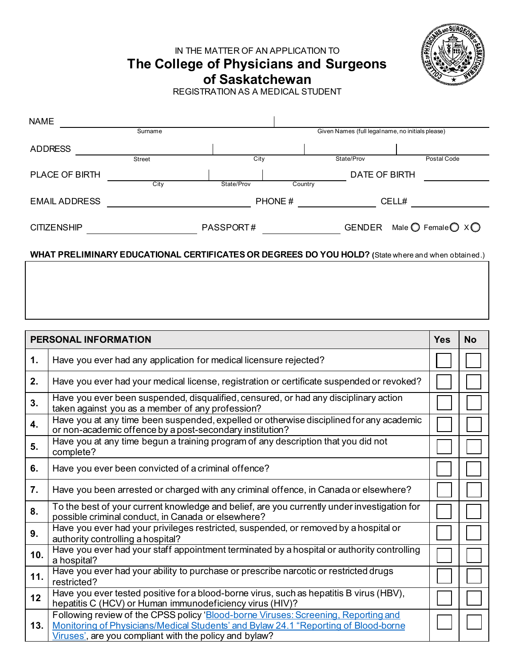IN THE MATTER OF AN APPLICATION TO

**The College of Physicians and Surgeons**



**of Saskatchewan**

REGISTRATION AS A MEDICAL STUDENT

| <b>NAME</b>           |               |            |         |                                                   |                                                |
|-----------------------|---------------|------------|---------|---------------------------------------------------|------------------------------------------------|
|                       | Surname       |            |         | Given Names (full legal name, no initials please) |                                                |
| <b>ADDRESS</b>        |               |            |         |                                                   |                                                |
|                       | <b>Street</b> | City       |         | State/Prov                                        | Postal Code                                    |
| <b>PLACE OF BIRTH</b> |               |            |         | DATE OF BIRTH                                     |                                                |
|                       | City          | State/Prov | Country |                                                   |                                                |
| <b>EMAIL ADDRESS</b>  |               |            | PHONE#  |                                                   | CELL#                                          |
|                       |               |            |         |                                                   |                                                |
| <b>CITIZENSHIP</b>    |               | PASSPORT#  |         | GENDER                                            | Male $\bigcirc$ Female $\bigcirc$ X $\bigcirc$ |
|                       |               |            |         |                                                   |                                                |

## **WHAT PRELIMINARY EDUCATIONAL CERTIFICATES OR DEGREES DO YOU HOLD? (**State where and when obtained.)

|     | PERSONAL INFORMATION                                                                                                                                                                                                                | <b>Yes</b> | <b>No</b> |
|-----|-------------------------------------------------------------------------------------------------------------------------------------------------------------------------------------------------------------------------------------|------------|-----------|
| 1.  | Have you ever had any application for medical licensure rejected?                                                                                                                                                                   |            |           |
| 2.  | Have you ever had your medical license, registration or certificate suspended or revoked?                                                                                                                                           |            |           |
| 3.  | Have you ever been suspended, disqualified, censured, or had any disciplinary action<br>taken against you as a member of any profession?                                                                                            |            |           |
| 4.  | Have you at any time been suspended, expelled or otherwise disciplined for any academic<br>or non-academic offence by a post-secondary institution?                                                                                 |            |           |
| 5.  | Have you at any time begun a training program of any description that you did not<br>complete?                                                                                                                                      |            |           |
| 6.  | Have you ever been convicted of a criminal offence?                                                                                                                                                                                 |            |           |
| 7.  | Have you been arrested or charged with any criminal offence, in Canada or elsewhere?                                                                                                                                                |            |           |
| 8.  | To the best of your current knowledge and belief, are you currently under investigation for<br>possible criminal conduct, in Canada or elsewhere?                                                                                   |            |           |
| 9.  | Have you ever had your privileges restricted, suspended, or removed by a hospital or<br>authority controlling a hospital?                                                                                                           |            |           |
| 10. | Have you ever had your staff appointment terminated by a hospital or authority controlling<br>a hospital?                                                                                                                           |            |           |
| 11. | Have you ever had your ability to purchase or prescribe narcotic or restricted drugs<br>restricted?                                                                                                                                 |            |           |
| 12  | Have you ever tested positive for a blood-borne virus, such as hepatitis B virus (HBV),<br>hepatitis C (HCV) or Human immunodeficiency virus (HIV)?                                                                                 |            |           |
| 13. | Following review of the CPSS policy 'Blood-borne Viruses: Screening, Reporting and<br>Monitoring of Physicians/Medical Students' and Bylaw 24.1 "Reporting of Blood-borne<br>Viruses', are you compliant with the policy and bylaw? |            |           |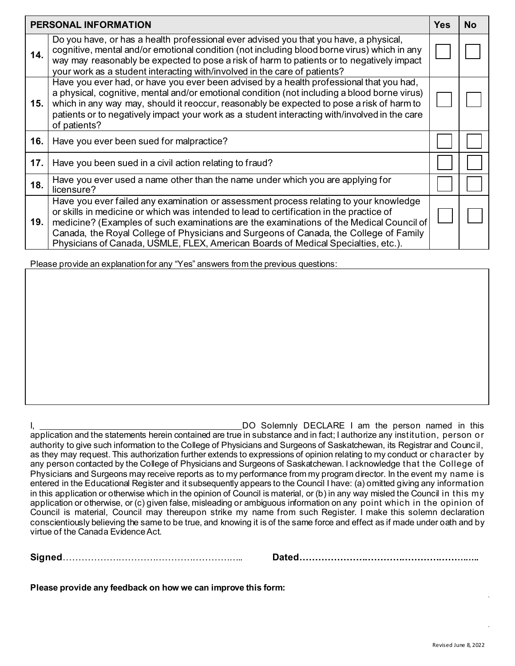|     | PERSONAL INFORMATION                                                                                                                                                                                                                                                                                                                                                                                                                                      | <b>Yes</b> | <b>No</b> |
|-----|-----------------------------------------------------------------------------------------------------------------------------------------------------------------------------------------------------------------------------------------------------------------------------------------------------------------------------------------------------------------------------------------------------------------------------------------------------------|------------|-----------|
| 14. | Do you have, or has a health professional ever advised you that you have, a physical,<br>cognitive, mental and/or emotional condition (not including blood borne virus) which in any<br>way may reasonably be expected to pose a risk of harm to patients or to negatively impact<br>your work as a student interacting with/involved in the care of patients?                                                                                            |            |           |
| 15. | Have you ever had, or have you ever been advised by a health professional that you had,<br>a physical, cognitive, mental and/or emotional condition (not including a blood borne virus)<br>which in any way may, should it reoccur, reasonably be expected to pose a risk of harm to<br>patients or to negatively impact your work as a student interacting with/involved in the care<br>of patients?                                                     |            |           |
| 16. | Have you ever been sued for malpractice?                                                                                                                                                                                                                                                                                                                                                                                                                  |            |           |
| 17. | Have you been sued in a civil action relating to fraud?                                                                                                                                                                                                                                                                                                                                                                                                   |            |           |
| 18. | Have you ever used a name other than the name under which you are applying for<br>licensure?                                                                                                                                                                                                                                                                                                                                                              |            |           |
| 19. | Have you ever failed any examination or assessment process relating to your knowledge<br>or skills in medicine or which was intended to lead to certification in the practice of<br>medicine? (Examples of such examinations are the examinations of the Medical Council of<br>Canada, the Royal College of Physicians and Surgeons of Canada, the College of Family<br>Physicians of Canada, USMLE, FLEX, American Boards of Medical Specialties, etc.). |            |           |

Please provide an explanation for any "Yes" answers from the previous questions:

I, DO Solemnly DECLARE I am the person named in this application and the statements herein contained are true in substance and in fact; I authorize any institution, person or authority to give such information to the College of Physicians and Surgeons of Saskatchewan, its Registrar and Council, as they may request. This authorization further extends to expressions of opinion relating to my conduct or character by any person contacted by the College of Physicians and Surgeons of Saskatchewan. I acknowledge that the College of Physicians and Surgeons may receive reports as to my performance from my program director. In the event my name is entered in the Educational Register and it subsequently appears to the Council I have: (a) omitted giving any information in this application or otherwise which in the opinion of Council is material, or (b) in any way misled the Council in this my application or otherwise, or (c) given false, misleading or ambiguous information on any point which in the opinion of Council is material, Council may thereupon strike my name from such Register. I make this solemn declaration conscientiously believing the same to be true, and knowing it is of the same force and effect as if made under oath and by virtue of the Canada Evidence Act.

**Signed**………………………………………………….. **Dated…………………………………………………..**

**Please provide any feedback on how we can improve this form:**